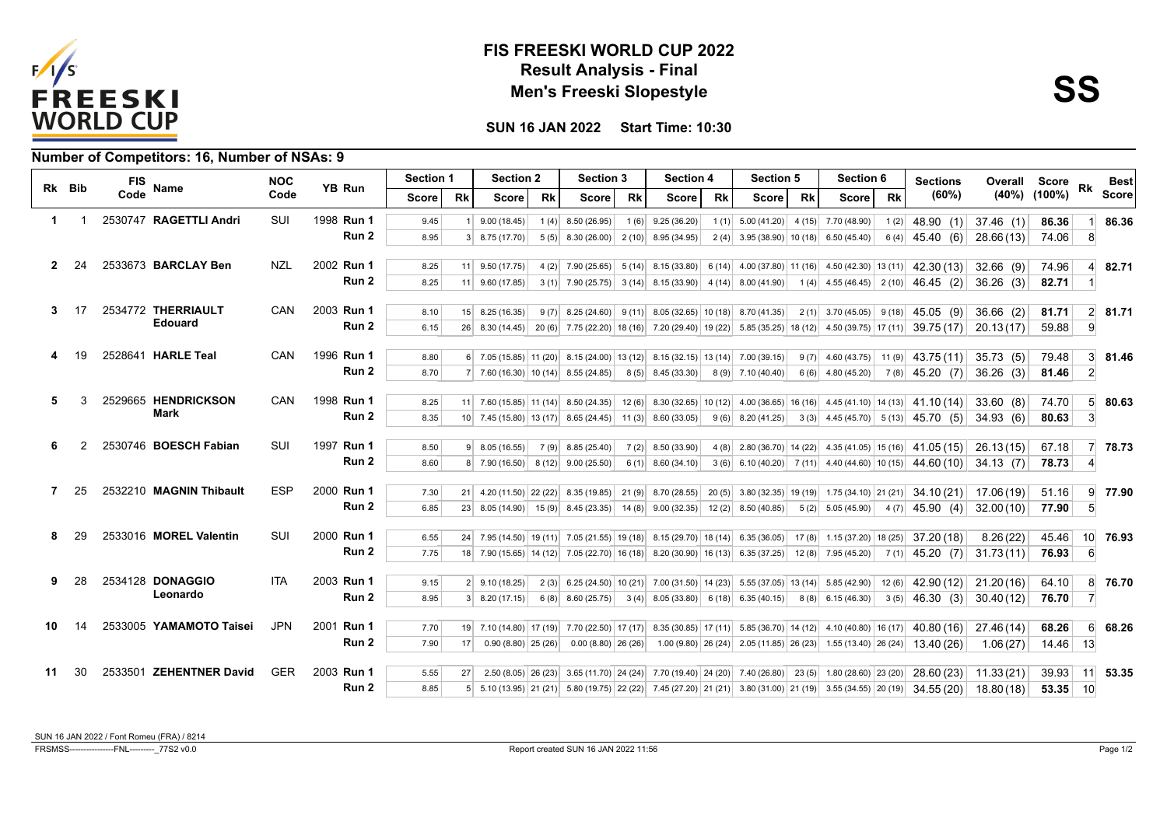

## **Result Analysis - Final FIS FREESKI WORLD CUP 2022 Men's Freeski Slopestyle**



**SUN 16 JAN 2022 Start Time: 10:30**

|              |        | <b>FIS</b> |                         | <b>NOC</b> |                  | Section 1<br><b>YB Run</b> |           | <b>Section 2</b>                                                                                                       |           | <b>Section 3</b>           |    | <b>Section 4</b>      |           | <b>Section 5</b>                                                                   |    | <b>Section 6</b>                                                                                       |           | <b>Sections</b>                                                                                                                                                                                               |             | <b>Overall Score</b> |                 | <b>Best</b>    |  |  |
|--------------|--------|------------|-------------------------|------------|------------------|----------------------------|-----------|------------------------------------------------------------------------------------------------------------------------|-----------|----------------------------|----|-----------------------|-----------|------------------------------------------------------------------------------------|----|--------------------------------------------------------------------------------------------------------|-----------|---------------------------------------------------------------------------------------------------------------------------------------------------------------------------------------------------------------|-------------|----------------------|-----------------|----------------|--|--|
|              | Rk Bib | Code       | Name                    | Code       |                  | Score l                    | <b>Rk</b> | <b>Score</b>                                                                                                           | <b>Rk</b> | <b>Score</b>               | Rk | <b>Score</b>          | <b>Rk</b> | <b>Score</b>                                                                       | Rk | <b>Score</b>                                                                                           | <b>Rk</b> | (60%)                                                                                                                                                                                                         |             | $(40\%)$ $(100\%)$   | Rk              | <b>Score</b>   |  |  |
| 1            |        |            | 2530747 RAGETTLI Andri  | SUI        | 1998 Run 1       | 9.45                       |           | 9.00(18.45)                                                                                                            |           | $1(4)$ 8.50 (26.95)        |    | $1(6)$ 9.25 (36.20)   |           | $1(1)$ 5.00 (41.20) 4 (15) 7.70 (48.90)                                            |    |                                                                                                        | 1(2)      | 48.90 (1)                                                                                                                                                                                                     | 37.46(1)    | 86.36                |                 | 86.36          |  |  |
|              |        |            |                         |            | Run 2            | 8.95                       |           | $3 \mid 8.75(17.70)$                                                                                                   |           | $5(5)$ 8.30 (26.00)        |    | $2(10)$ 8.95 (34.95)  |           | $2(4)$ 3.95 (38.90) 10 (18)                                                        |    | 6.50(45.40)                                                                                            | 6(4)      | 45.40 (6)                                                                                                                                                                                                     | 28.66 (13)  | 74.06                | 8               |                |  |  |
| $\mathbf{2}$ | 24     |            | 2533673 BARCLAY Ben     | <b>NZL</b> | 2002 Run 1       |                            |           |                                                                                                                        |           |                            |    |                       |           |                                                                                    |    |                                                                                                        |           |                                                                                                                                                                                                               |             |                      |                 |                |  |  |
|              |        |            |                         |            | Run 2            | 8.25<br>8.25               |           | $11 \mid 9.50(17.75)$                                                                                                  |           |                            |    |                       |           |                                                                                    |    | $4(2)$ 7.90 (25.65) 5 (14) 8.15 (33.80) 6 (14) 4.00 (37.80) 11 (16) 4.50 (42.30) 13 (11)               |           | 42.30 (13)                                                                                                                                                                                                    | $32.66$ (9) | 74.96<br>82.71       | $\mathbf{I}$    | 82.71          |  |  |
|              |        |            |                         |            |                  |                            |           | $11 \mid 9.60(17.85)$                                                                                                  |           |                            |    |                       |           | $3(1)$ 7.90 (25.75) 3 (14) 8.15 (33.90) 4 (14) 8.00 (41.90)                        |    |                                                                                                        |           | $1(4)$ 4.55 (46.45) 2 (10) 46.45 (2)                                                                                                                                                                          | $36.26$ (3) |                      |                 |                |  |  |
| 3.           | 17     |            | 2534772 THERRIAULT      | CAN        | 2003 Run 1       | 8.10                       |           | 15 8.25 (16.35)                                                                                                        |           | $9(7)$ 8.25 (24.60) 9 (11) |    | $8.05(32.65)$ 10 (18) |           | 8.70 (41.35)                                                                       |    | $2(1)$ 3.70 (45.05)                                                                                    | 9(18)     | 45.05(9)                                                                                                                                                                                                      | 36.66(2)    | 81.71                |                 | $2 \mid 81.71$ |  |  |
|              |        |            | <b>Edouard</b>          |            | Run 2            | 6.15                       |           | 26 8.30 (14.45) 20 (6) 7.75 (22.20) 18 (16) 7.20 (29.40) 19 (22) 5.85 (35.25) 18 (12) 4.50 (39.75) 17 (11)             |           |                            |    |                       |           |                                                                                    |    |                                                                                                        |           | 39.75 (17)                                                                                                                                                                                                    | 20.13(17)   | 59.88                | 9               |                |  |  |
|              |        |            | 2528641 HARLE Teal      | <b>CAN</b> | 1996 Run 1       |                            |           |                                                                                                                        |           |                            |    |                       |           |                                                                                    |    |                                                                                                        |           |                                                                                                                                                                                                               |             |                      |                 |                |  |  |
|              |        |            |                         |            | Run 2            | 8.80                       |           | $6$ 7.05 (15.85) 11 (20) 8.15 (24.00) 13 (12) 8.15 (32.15) 13 (14) 7.00 (39.15)                                        |           |                            |    |                       |           |                                                                                    |    | $9(7)$ 4.60 (43.75)                                                                                    | 11(9)     | 43.75 (11)                                                                                                                                                                                                    | 35.73(5)    | 79.48                | 3               | 81.46          |  |  |
|              |        |            |                         |            |                  | 8.70                       |           | $7 \mid 7.60(16.30) \mid 10(14) \mid 8.55(24.85)$                                                                      |           |                            |    | $8(5)$ 8.45 (33.30)   |           | $8(9)$ 7.10 (40.40)                                                                |    | $6(6)$ 4.80 (45.20)                                                                                    |           | $7(8)$ 45.20 (7)                                                                                                                                                                                              | 36.26(3)    | 81.46                | $\overline{2}$  |                |  |  |
| 5            |        |            | 2529665 HENDRICKSON     | CAN        | 1998 Run 1       | 8.25                       |           |                                                                                                                        |           |                            |    |                       |           |                                                                                    |    |                                                                                                        |           | 11 7.60 (15.85) 11 (14) 8.50 (24.35) 12 (6) 8.30 (32.65) 10 (12) 4.00 (36.65) 16 (16) 4.45 (41.10) 14 (13) 41.10 (14)                                                                                         | 33.60(8)    | 74.70                | 5 <sup>1</sup>  | 80.63          |  |  |
|              |        |            | <b>Mark</b>             |            | Run 2            | 8.35                       |           | 10 7.45 (15.80) 13 (17) 8.65 (24.45) 11 (3) 8.60 (33.05)                                                               |           |                            |    |                       |           | $9(6)$ 8.20 (41.25)                                                                |    | $3(3)$ 4.45 (45.70) 5 (13)                                                                             |           | 45.70 (5)                                                                                                                                                                                                     | 34.93 (6)   | 80.63                | 3 <sup>1</sup>  |                |  |  |
|              |        |            |                         |            |                  |                            |           |                                                                                                                        |           |                            |    |                       |           |                                                                                    |    |                                                                                                        |           |                                                                                                                                                                                                               |             |                      |                 |                |  |  |
| 6            |        |            | 2530746 BOESCH Fabian   | SUI        | 1997 Run 1       | 8.50                       |           | $9$ 8.05 (16.55)                                                                                                       |           | $7(9)$ 8.85 (25.40)        |    | $7(2)$ 8.50 (33.90)   |           |                                                                                    |    |                                                                                                        |           | 4 (8) 2.80 (36.70) 14 (22) 4.35 (41.05) 15 (16) 41.05 (15)                                                                                                                                                    | 26.13(15)   | 67.18                | $\overline{7}$  | 78.73          |  |  |
|              |        |            |                         |            | Run 2            | 8.60                       |           | 8 7.90 (16.50) 8 (12) 9.00 (25.50)                                                                                     |           |                            |    | $6(1)$ 8.60 (34.10)   |           |                                                                                    |    | $3(6)$ 6.10 (40.20) 7 (11) 4.40 (44.60) 10 (15)                                                        |           | 44.60 (10)                                                                                                                                                                                                    | 34.13(7)    | 78.73                | 4               |                |  |  |
| 7            | 25     |            | 2532210 MAGNIN Thibault | <b>ESP</b> | 2000 Run 1       | 7.30                       |           | $21 \mid 4.20(11.50) \mid 22(22) \mid 8.35(19.85) \mid$                                                                |           |                            |    |                       |           |                                                                                    |    | 21 (9) 8.70 (28.55) 20 (5) 3.80 (32.35) 19 (19) 1.75 (34.10) 21 (21)                                   |           | 34.10 (21)                                                                                                                                                                                                    | 17.06 (19)  | 51.16                | 9               | 77.90          |  |  |
|              |        |            |                         |            | Run 2            | 6.85                       |           | 23 8.05 (14.90) 15 (9) 8.45 (23.35) 14 (8) 9.00 (32.35) 12 (2) 8.50 (40.85)                                            |           |                            |    |                       |           |                                                                                    |    | $5(2)$ 5.05 (45.90)                                                                                    |           | $4(7)$ 45.90 (4)                                                                                                                                                                                              | 32.00(10)   | 77.90                | 5 <sup>5</sup>  |                |  |  |
|              |        |            |                         |            |                  |                            |           |                                                                                                                        |           |                            |    |                       |           |                                                                                    |    |                                                                                                        |           |                                                                                                                                                                                                               |             |                      |                 |                |  |  |
| 8            | 29     |            | 2533016 MOREL Valentin  | SUI        | 2000 Run 1       | 6.55                       |           | 24 7.95 (14.50) 19 (11) 7.05 (21.55) 19 (18) 8.15 (29.70) 18 (14) 6.35 (36.05)                                         |           |                            |    |                       |           |                                                                                    |    | $17(8)$ 1.15 (37.20) 18 (25)                                                                           |           | 37.20 (18)                                                                                                                                                                                                    | 8.26(22)    | 45.46                | 10 <sup>1</sup> | 76.93          |  |  |
|              |        |            |                         |            | Run 2            | 7.75                       |           | 18 7.90 (15.65) 14 (12) 7.05 (22.70) 16 (18) 8.20 (30.90) 16 (13) 6.35 (37.25) 12 (8) 7.95 (45.20)                     |           |                            |    |                       |           |                                                                                    |    |                                                                                                        |           | $7(1)$ 45.20 (7)                                                                                                                                                                                              | 31.73(11)   | 76.93                | $6 \,$          |                |  |  |
| 9            | 28     |            | 2534128 DONAGGIO        | <b>ITA</b> | 2003 Run 1       | 9.15                       |           | $2$ 9.10 (18.25)                                                                                                       |           |                            |    |                       |           | $2(3)$ 6.25 (24.50) 10 (21) 7.00 (31.50) 14 (23) 5.55 (37.05) 13 (14) 5.85 (42.90) |    |                                                                                                        | 12(6)     | 42.90 (12)                                                                                                                                                                                                    | 21.20(16)   | 64.10                | 8               | 76.70          |  |  |
|              |        |            | Leonardo                |            |                  |                            | Run 2     | 8.95                                                                                                                   |           | $3 \mid 8.20(17.15)$       |    | $6(8)$ 8.60 (25.75)   |           |                                                                                    |    | $3(4)$ 8.05 (33.80) 6 (18) 6.35 (40.15)                                                                |           | $8(8)$ 6.15 (46.30)                                                                                                                                                                                           |             | $3(5)$ 46.30 (3)     | 30.40(12)       | 76.70          |  |  |
|              |        |            |                         |            |                  |                            |           |                                                                                                                        |           |                            |    |                       |           |                                                                                    |    |                                                                                                        |           |                                                                                                                                                                                                               |             |                      |                 |                |  |  |
| 10           |        |            | 2533005 YAMAMOTO Taisei | <b>JPN</b> | 2001 Run 1       | 7.70                       |           | 10 16 (17) 14 (180) 16 (180) 17 (19) 17 (22.50) 17 (17) 8.35 (30.85) 17 (11) 5.85 (36.70) 14 (12) 4.10 (40.80) 16 (17) |           |                            |    |                       |           |                                                                                    |    |                                                                                                        |           | 40.80 (16)                                                                                                                                                                                                    | 27.46 (14)  | 68.26                | $6 \mid$        | 68.26          |  |  |
|              |        |            |                         |            | Run 2            | 7.90                       | 17        | $0.90(8.80)$ 25 (26)                                                                                                   |           | $0.00(8.80)$ 26 (26)       |    |                       |           | $1.00(9.80)$ $26(24)$ 2.05 (11.85) 26 (23)                                         |    | $1.55(13.40)$ 26 (24)                                                                                  |           | 13.40 (26)                                                                                                                                                                                                    | 1.06(27)    | 14.46                | 13              |                |  |  |
| 11           | 30     |            | 2533501 ZEHENTNER David | GER        | 2003 Run 1       | 5.55                       | 27        |                                                                                                                        |           |                            |    |                       |           |                                                                                    |    | 2.50 (8.05) 26 (23) 3.65 (11.70) 24 (24) 7.70 (19.40) 24 (20) 7.40 (26.80) 23 (5) 1.80 (28.60) 23 (20) |           | 28.60 (23)                                                                                                                                                                                                    | 11.33(21)   | 39.93                | 11              | 53.35          |  |  |
|              |        |            |                         |            | Run <sub>2</sub> | 8.85                       |           |                                                                                                                        |           |                            |    |                       |           |                                                                                    |    |                                                                                                        |           | $5\begin{pmatrix} 5.10 & (13.95) & 21 & (21) & 5.80 & (19.75) & 22 & (22) & 7.45 & (27.20) & 21 & (21) & 3.80 & (31.00) & 21 & (19) & 3.55 & (34.55) & 20 & (19) & 34.55 & (20) & 18.80 & (18) \end{pmatrix}$ |             | $53.35$ 10           |                 |                |  |  |